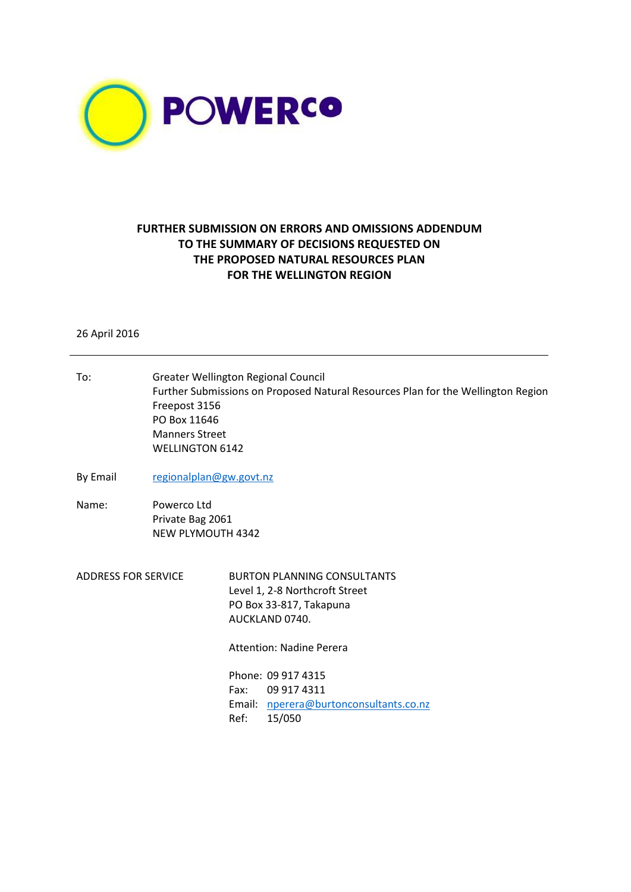

## **FURTHER SUBMISSION ON ERRORS AND OMISSIONS ADDENDUM TO THE SUMMARY OF DECISIONS REQUESTED ON THE PROPOSED NATURAL RESOURCES PLAN FOR THE WELLINGTON REGION**

26 April 2016

| regionalplan@gw.govt.nz                                                                                                                                                                                                                     |  |  |  |  |  |
|---------------------------------------------------------------------------------------------------------------------------------------------------------------------------------------------------------------------------------------------|--|--|--|--|--|
|                                                                                                                                                                                                                                             |  |  |  |  |  |
| Powerco Ltd<br>Private Bag 2061<br><b>NEW PLYMOUTH 4342</b>                                                                                                                                                                                 |  |  |  |  |  |
| <b>BURTON PLANNING CONSULTANTS</b><br>Level 1, 2-8 Northcroft Street<br>PO Box 33-817, Takapuna<br>AUCKLAND 0740.<br><b>Attention: Nadine Perera</b><br>Phone: 09 917 4315<br>Fax:<br>09 917 4311<br>Email: nperera@burtonconsultants.co.nz |  |  |  |  |  |
|                                                                                                                                                                                                                                             |  |  |  |  |  |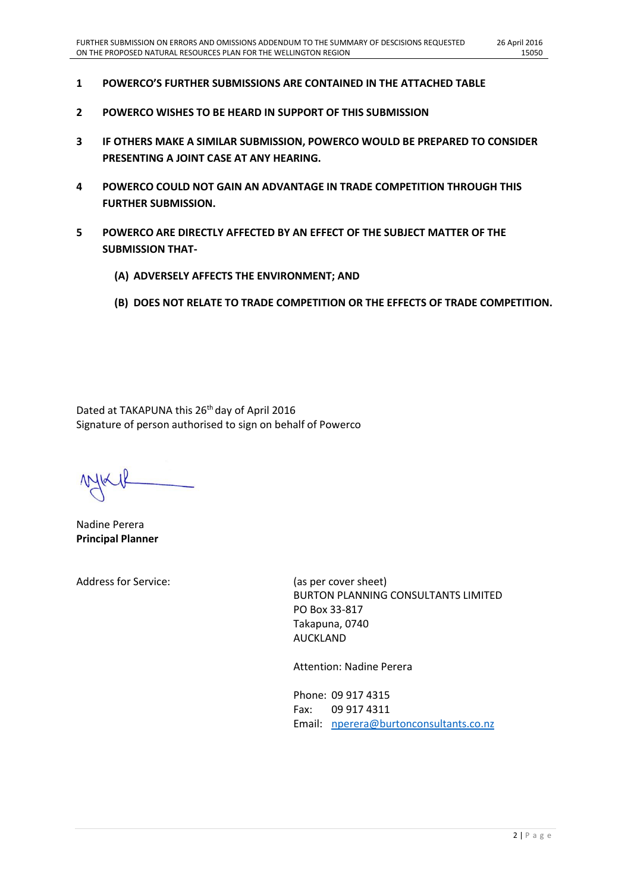- **1 POWERCO'S FURTHER SUBMISSIONS ARE CONTAINED IN THE ATTACHED TABLE**
- **2 POWERCO WISHES TO BE HEARD IN SUPPORT OF THIS SUBMISSION**
- **3 IF OTHERS MAKE A SIMILAR SUBMISSION, POWERCO WOULD BE PREPARED TO CONSIDER PRESENTING A JOINT CASE AT ANY HEARING.**
- **4 POWERCO COULD NOT GAIN AN ADVANTAGE IN TRADE COMPETITION THROUGH THIS FURTHER SUBMISSION.**
- **5 POWERCO ARE DIRECTLY AFFECTED BY AN EFFECT OF THE SUBJECT MATTER OF THE SUBMISSION THAT-**
	- **(A) ADVERSELY AFFECTS THE ENVIRONMENT; AND**
	- **(B) DOES NOT RELATE TO TRADE COMPETITION OR THE EFFECTS OF TRADE COMPETITION.**

Dated at TAKAPUNA this 26<sup>th</sup> day of April 2016 Signature of person authorised to sign on behalf of Powerco

Nadine Perera **Principal Planner**

Address for Service: (as per cover sheet)

BURTON PLANNING CONSULTANTS LIMITED PO Box 33-817 Takapuna, 0740 AUCKLAND

Attention: Nadine Perera

Phone: 09 917 4315 Fax: 09 917 4311 Email: [nperera@burtonconsultants.co.nz](mailto:nperera@burtonconsultants.co.nz)